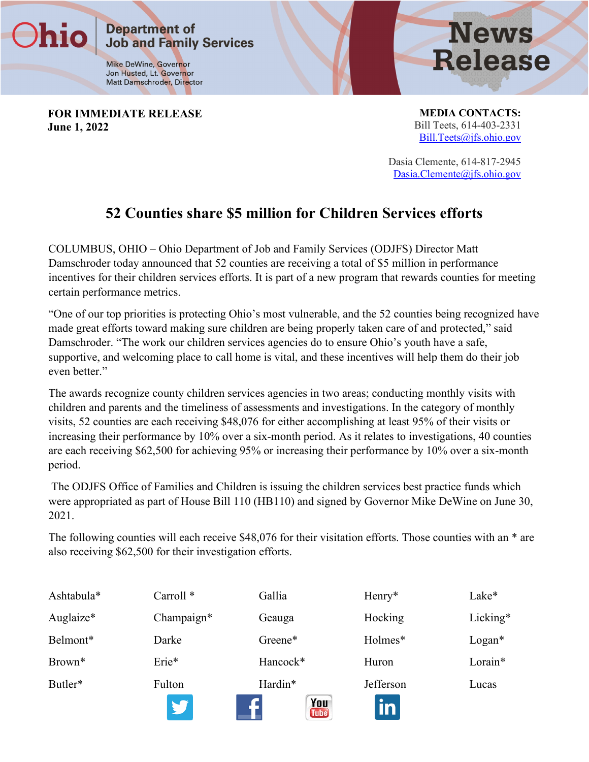**Mike DeWine, Governor** Jon Husted, Lt. Governor Matt Damschroder, Director

**Job and Family Services** 

**Department of** 

**FOR IMMEDIATE RELEASE June 1, 2022**

**MEDIA CONTACTS:** Bill Teets, 614-403-2331 [Bill.Teets@jfs.ohio.gov](mailto:Thomas.betti@jfs.ohio.gov)

**News** 

**Release** 

Dasia Clemente, 614-817-2945 [Dasia.Clemente@jfs.ohio.gov](mailto:Dasia.Clemente@jfs.ohio.gov)

## **52 Counties share \$5 million for Children Services efforts**

COLUMBUS, OHIO – Ohio Department of Job and Family Services (ODJFS) Director Matt Damschroder today announced that 52 counties are receiving a total of \$5 million in performance incentives for their children services efforts. It is part of a new program that rewards counties for meeting certain performance metrics.

"One of our top priorities is protecting Ohio's most vulnerable, and the 52 counties being recognized have made great efforts toward making sure children are being properly taken care of and protected," said Damschroder. "The work our children services agencies do to ensure Ohio's youth have a safe, supportive, and welcoming place to call home is vital, and these incentives will help them do their job even better."

The awards recognize county children services agencies in two areas; conducting monthly visits with children and parents and the timeliness of assessments and investigations. In the category of monthly visits, 52 counties are each receiving \$48,076 for either accomplishing at least 95% of their visits or increasing their performance by 10% over a six-month period. As it relates to investigations, 40 counties are each receiving \$62,500 for achieving 95% or increasing their performance by 10% over a six-month period.

The ODJFS Office of Families and Children is issuing the children services best practice funds which were appropriated as part of House Bill 110 (HB110) and signed by Governor Mike DeWine on June 30, 2021.

The following counties will each receive \$48,076 for their visitation efforts. Those counties with an \* are also receiving \$62,500 for their investigation efforts.

| Ashtabula*         | Carroll <sup>*</sup> | Gallia                        | Henry*    | Lake*    |
|--------------------|----------------------|-------------------------------|-----------|----------|
| Auglaize*          | Champaign*           | Geauga                        | Hocking   | Licking* |
| Belmont*           | Darke                | Greene*                       | Holmes*   | $Logan*$ |
| Brown <sup>*</sup> | Erie*                | Hancock <sup>*</sup>          | Huron     | Lorain*  |
| Butler*            | Fulton               | Hardin*<br>You<br><b>Tube</b> | Jefferson | Lucas    |